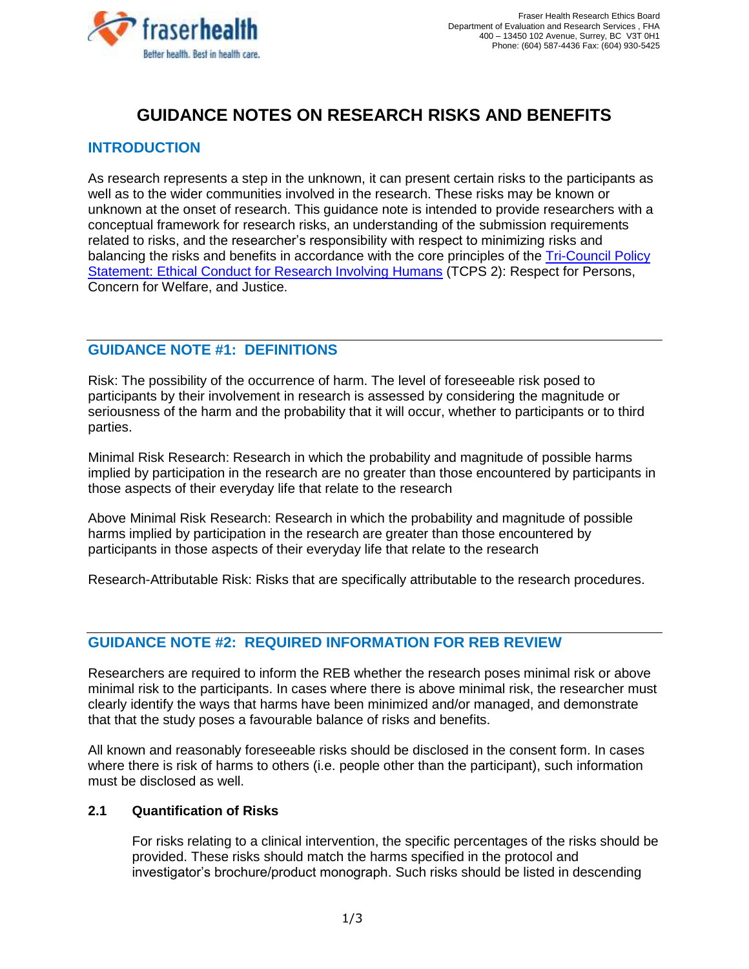

# **GUIDANCE NOTES ON RESEARCH RISKS AND BENEFITS**

#### **INTRODUCTION**

As research represents a step in the unknown, it can present certain risks to the participants as well as to the wider communities involved in the research. These risks may be known or unknown at the onset of research. This guidance note is intended to provide researchers with a conceptual framework for research risks, an understanding of the submission requirements related to risks, and the researcher's responsibility with respect to minimizing risks and balancing the risks and benefits in accordance with the core principles of the Tri-Council Policy [Statement: Ethical Conduct for Research Involving Humans](https://ethics.gc.ca/eng/tcps2-eptc2_2018_chapter1-chapitre1.html#b) (TCPS 2): Respect for Persons, Concern for Welfare, and Justice.

## **GUIDANCE NOTE #1: DEFINITIONS**

Risk: The possibility of the occurrence of harm. The level of foreseeable risk posed to participants by their involvement in research is assessed by considering the magnitude or seriousness of the harm and the probability that it will occur, whether to participants or to third parties.

Minimal Risk Research: Research in which the probability and magnitude of possible harms implied by participation in the research are no greater than those encountered by participants in those aspects of their everyday life that relate to the research

Above Minimal Risk Research: Research in which the probability and magnitude of possible harms implied by participation in the research are greater than those encountered by participants in those aspects of their everyday life that relate to the research

Research-Attributable Risk: Risks that are specifically attributable to the research procedures.

#### **GUIDANCE NOTE #2: REQUIRED INFORMATION FOR REB REVIEW**

Researchers are required to inform the REB whether the research poses minimal risk or above minimal risk to the participants. In cases where there is above minimal risk, the researcher must clearly identify the ways that harms have been minimized and/or managed, and demonstrate that that the study poses a favourable balance of risks and benefits.

All known and reasonably foreseeable risks should be disclosed in the consent form. In cases where there is risk of harms to others (i.e. people other than the participant), such information must be disclosed as well.

#### **2.1 Quantification of Risks**

For risks relating to a clinical intervention, the specific percentages of the risks should be provided. These risks should match the harms specified in the protocol and investigator's brochure/product monograph. Such risks should be listed in descending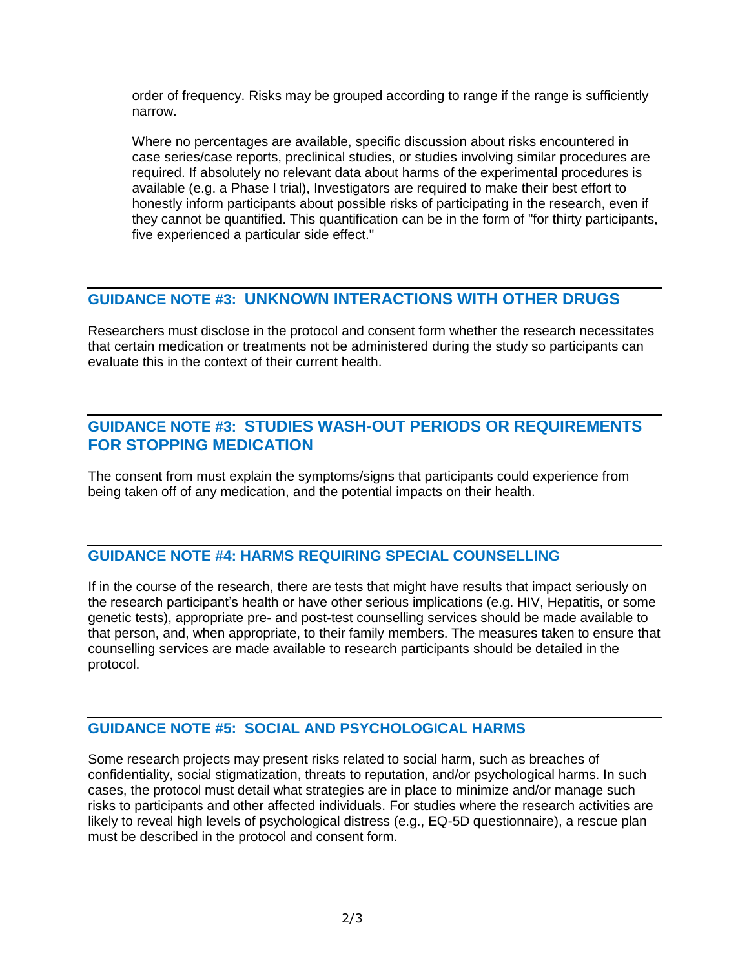order of frequency. Risks may be grouped according to range if the range is sufficiently narrow.

Where no percentages are available, specific discussion about risks encountered in case series/case reports, preclinical studies, or studies involving similar procedures are required. If absolutely no relevant data about harms of the experimental procedures is available (e.g. a Phase I trial), Investigators are required to make their best effort to honestly inform participants about possible risks of participating in the research, even if they cannot be quantified. This quantification can be in the form of "for thirty participants, five experienced a particular side effect."

# **GUIDANCE NOTE #3: UNKNOWN INTERACTIONS WITH OTHER DRUGS**

Researchers must disclose in the protocol and consent form whether the research necessitates that certain medication or treatments not be administered during the study so participants can evaluate this in the context of their current health.

# **GUIDANCE NOTE #3: STUDIES WASH-OUT PERIODS OR REQUIREMENTS FOR STOPPING MEDICATION**

The consent from must explain the symptoms/signs that participants could experience from being taken off of any medication, and the potential impacts on their health.

#### **GUIDANCE NOTE #4: HARMS REQUIRING SPECIAL COUNSELLING**

If in the course of the research, there are tests that might have results that impact seriously on the research participant's health or have other serious implications (e.g. HIV, Hepatitis, or some genetic tests), appropriate pre- and post-test counselling services should be made available to that person, and, when appropriate, to their family members. The measures taken to ensure that counselling services are made available to research participants should be detailed in the protocol.

#### **GUIDANCE NOTE #5: SOCIAL AND PSYCHOLOGICAL HARMS**

Some research projects may present risks related to social harm, such as breaches of confidentiality, social stigmatization, threats to reputation, and/or psychological harms. In such cases, the protocol must detail what strategies are in place to minimize and/or manage such risks to participants and other affected individuals. For studies where the research activities are likely to reveal high levels of psychological distress (e.g., EQ-5D questionnaire), a rescue plan must be described in the protocol and consent form.